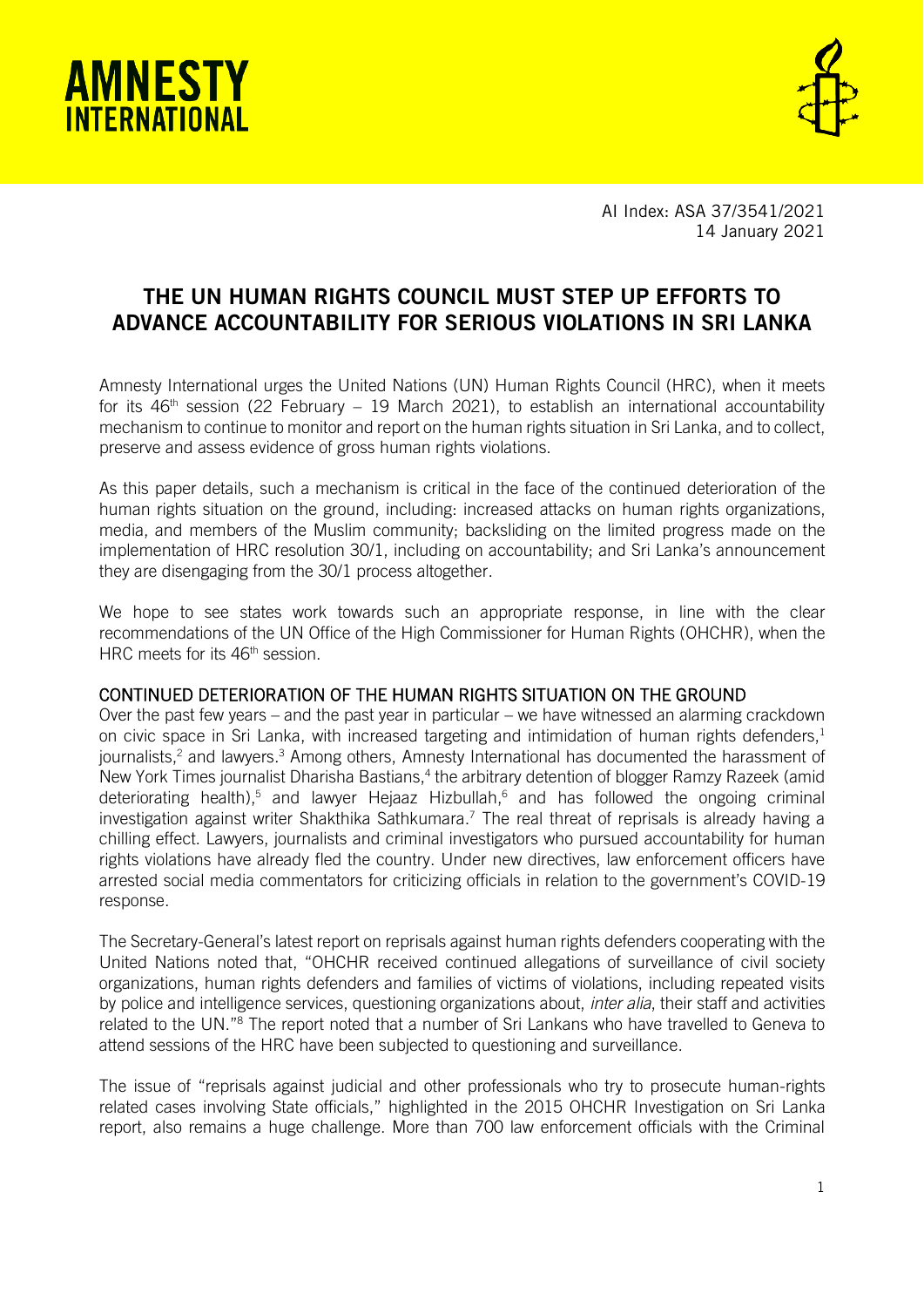



AI Index: ASA 37/3541/2021 14 January 2021

# THE UN HUMAN RIGHTS COUNCIL MUST STEP UP EFFORTS TO ADVANCE ACCOUNTABILITY FOR SERIOUS VIOLATIONS IN SRI LANKA

Amnesty International urges the United Nations (UN) Human Rights Council (HRC), when it meets for its  $46<sup>th</sup>$  session (22 February – 19 March 2021), to establish an international accountability mechanism to continue to monitor and report on the human rights situation in Sri Lanka, and to collect, preserve and assess evidence of gross human rights violations.

As this paper details, such a mechanism is critical in the face of the continued deterioration of the human rights situation on the ground, including: increased attacks on human rights organizations, media, and members of the Muslim community; backsliding on the limited progress made on the implementation of HRC resolution 30/1, including on accountability; and Sri Lanka's announcement they are disengaging from the 30/1 process altogether.

We hope to see states work towards such an appropriate response, in line with the clear recommendations of the UN Office of the High Commissioner for Human Rights (OHCHR), when the HRC meets for its 46<sup>th</sup> session.

### CONTINUED DETERIORATION OF THE HUMAN RIGHTS SITUATION ON THE GROUND

Over the past few years – and the past year in particular – we have witnessed an alarming crackdown on civic space in Sri Lanka, with increased targeting and intimidation of human rights defenders,<sup>1</sup> journalists,<sup>2</sup> and lawyers.<sup>3</sup> Among others, Amnesty International has documented the harassment of New York Times journalist Dharisha Bastians,<sup>4</sup> the arbitrary detention of blogger Ramzy Razeek (amid deteriorating health),<sup>5</sup> and lawyer Hejaaz Hizbullah,<sup>6</sup> and has followed the ongoing criminal investigation against writer Shakthika Sathkumara.<sup>7</sup> The real threat of reprisals is already having a chilling effect. Lawyers, journalists and criminal investigators who pursued accountability for human rights violations have already fled the country. Under new directives, law enforcement officers have arrested social media commentators for criticizing officials in relation to the government's COVID-19 response.

The Secretary-General's latest report on reprisals against human rights defenders cooperating with the United Nations noted that, "OHCHR received continued allegations of surveillance of civil society organizations, human rights defenders and families of victims of violations, including repeated visits by police and intelligence services, questioning organizations about, *inter alia*, their staff and activities related to the UN."<sup>8</sup> The report noted that a number of Sri Lankans who have travelled to Geneva to attend sessions of the HRC have been subjected to questioning and surveillance.

The issue of "reprisals against judicial and other professionals who try to prosecute human-rights related cases involving State officials," highlighted in the 2015 OHCHR Investigation on Sri Lanka report, also remains a huge challenge. More than 700 law enforcement officials with the Criminal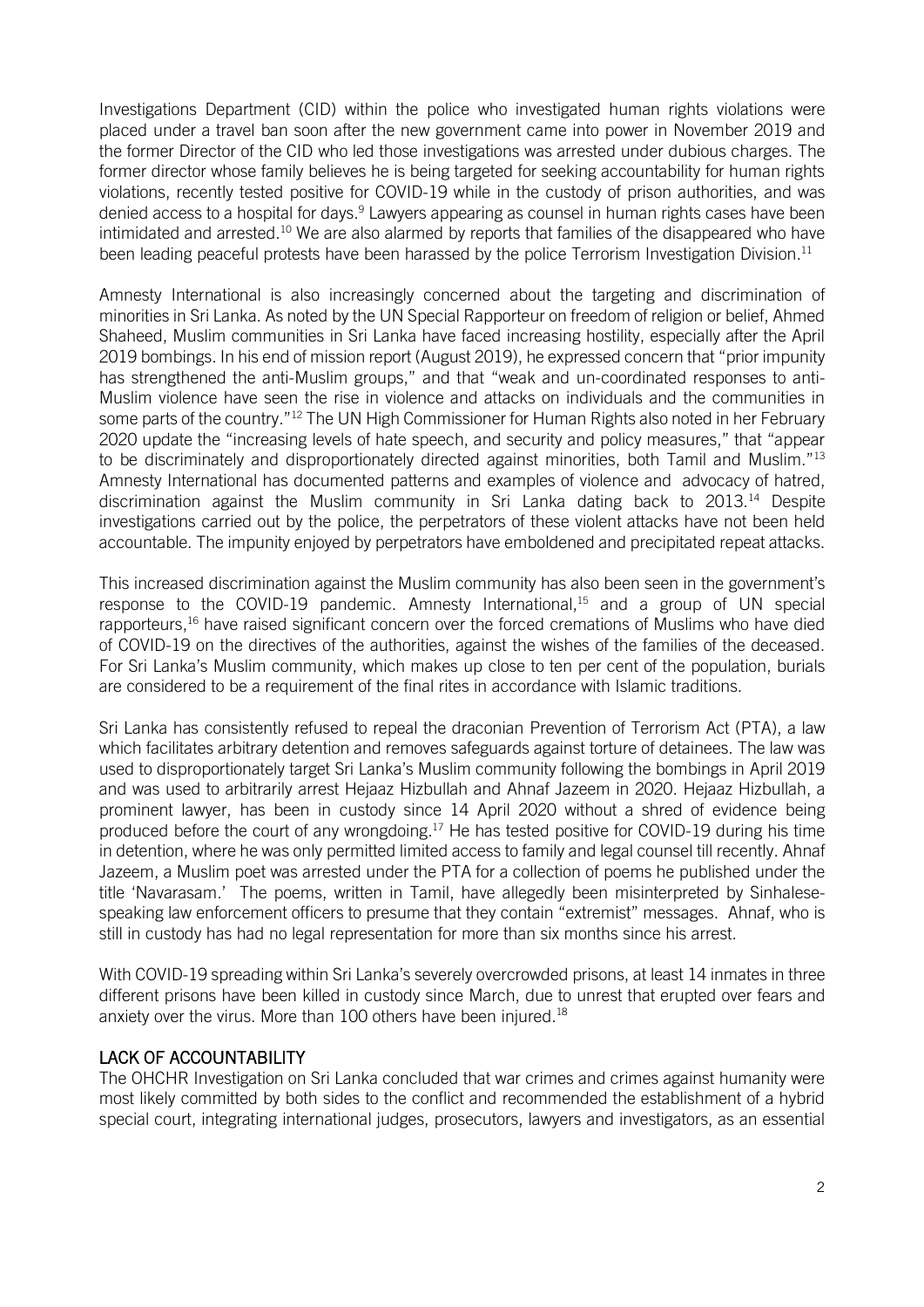Investigations Department (CID) within the police who investigated human rights violations were placed under a travel ban soon after the new government came into power in November 2019 and the former Director of the CID who led those investigations was arrested under dubious charges. The former director whose family believes he is being targeted for seeking accountability for human rights violations, recently tested positive for COVID-19 while in the custody of prison authorities, and was denied access to a hospital for days.<sup>9</sup> Lawyers appearing as counsel in human rights cases have been intimidated and arrested.<sup>10</sup> We are also alarmed by reports that families of the disappeared who have been leading peaceful protests have been harassed by the police Terrorism Investigation Division.<sup>11</sup>

Amnesty International is also increasingly concerned about the targeting and discrimination of minorities in Sri Lanka. As noted by the UN Special Rapporteur on freedom of religion or belief, Ahmed Shaheed, Muslim communities in Sri Lanka have faced increasing hostility, especially after the April 2019 bombings. In his end of mission report (August 2019), he expressed concern that "prior impunity has strengthened the anti-Muslim groups," and that "weak and un-coordinated responses to anti-Muslim violence have seen the rise in violence and attacks on individuals and the communities in some parts of the country."<sup>12</sup> The UN High Commissioner for Human Rights also noted in her February 2020 update the "increasing levels of hate speech, and security and policy measures," that "appear to be discriminately and disproportionately directed against minorities, both Tamil and Muslim."<sup>13</sup> Amnesty International has documented patterns and examples of violence and advocacy of hatred, discrimination against the Muslim community in Sri Lanka dating back to 2013.<sup>14</sup> Despite investigations carried out by the police, the perpetrators of these violent attacks have not been held accountable. The impunity enjoyed by perpetrators have emboldened and precipitated repeat attacks.

This increased discrimination against the Muslim community has also been seen in the government's response to the COVID-19 pandemic. Amnesty International,<sup>15</sup> and a group of UN special rapporteurs,<sup>16</sup> have raised significant concern over the forced cremations of Muslims who have died of COVID-19 on the directives of the authorities, against the wishes of the families of the deceased. For Sri Lanka's Muslim community, which makes up close to ten per cent of the population, burials are considered to be a requirement of the final rites in accordance with Islamic traditions.

Sri Lanka has consistently refused to repeal the draconian Prevention of Terrorism Act (PTA), a law which facilitates arbitrary detention and removes safeguards against torture of detainees. The law was used to disproportionately target Sri Lanka's Muslim community following the bombings in April 2019 and was used to arbitrarily arrest Hejaaz Hizbullah and Ahnaf Jazeem in 2020. Hejaaz Hizbullah, a prominent lawyer, has been in custody since 14 April 2020 without a shred of evidence being produced before the court of any wrongdoing.<sup>17</sup> He has tested positive for COVID-19 during his time in detention, where he was only permitted limited access to family and legal counsel till recently. Ahnaf Jazeem, a Muslim poet was arrested under the PTA for a collection of poems he published under the title 'Navarasam.' The poems, written in Tamil, have allegedly been misinterpreted by Sinhalesespeaking law enforcement officers to presume that they contain "extremist" messages. Ahnaf, who is still in custody has had no legal representation for more than six months since his arrest.

With COVID-19 spreading within Sri Lanka's severely overcrowded prisons, at least 14 inmates in three different prisons have been killed in custody since March, due to unrest that erupted over fears and anxiety over the virus. More than 100 others have been injured.<sup>18</sup>

## LACK OF ACCOUNTABILITY

The OHCHR Investigation on Sri Lanka concluded that war crimes and crimes against humanity were most likely committed by both sides to the conflict and recommended the establishment of a hybrid special court, integrating international judges, prosecutors, lawyers and investigators, as an essential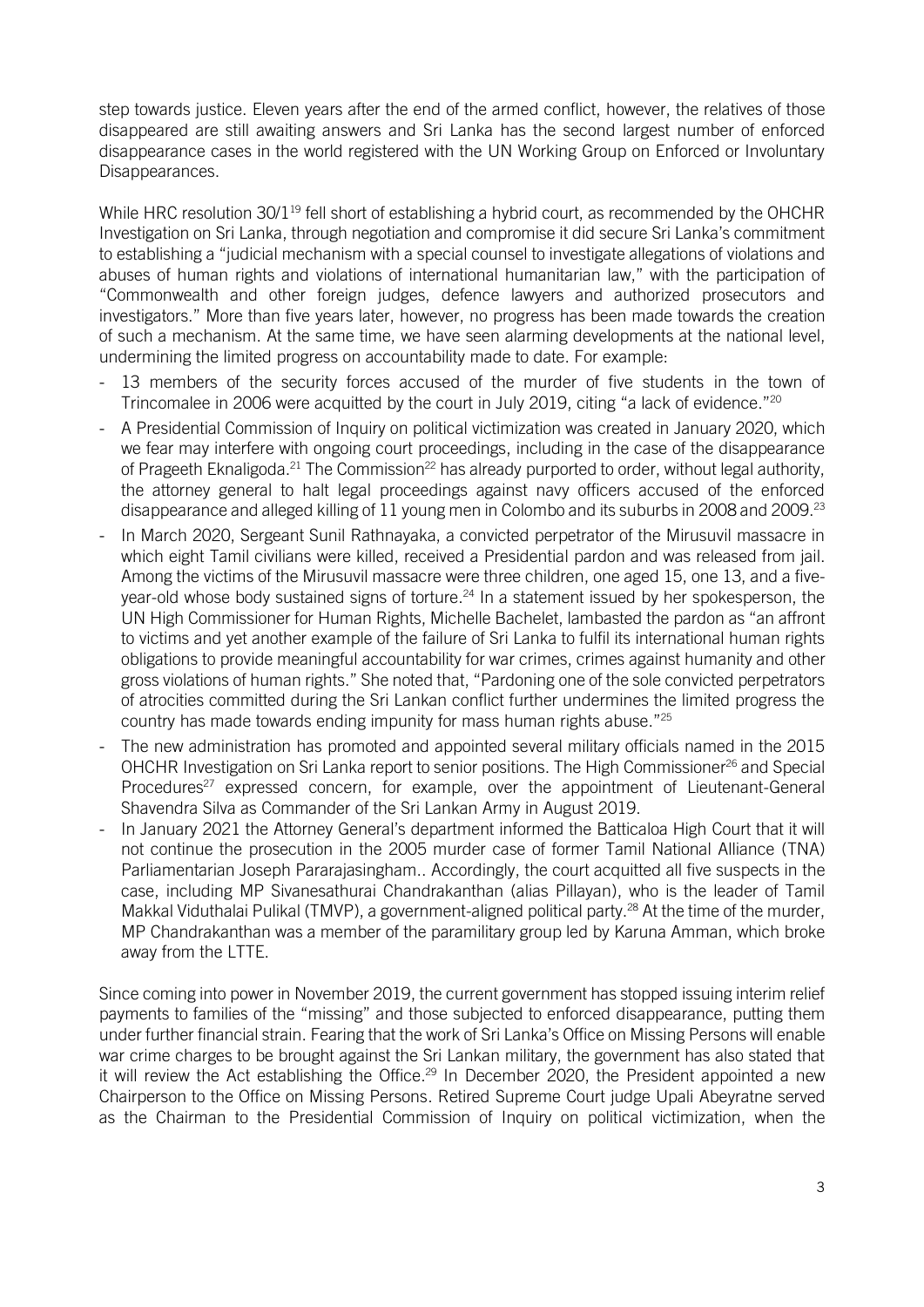step towards justice. Eleven years after the end of the armed conflict, however, the relatives of those disappeared are still awaiting answers and Sri Lanka has the second largest number of enforced disappearance cases in the world registered with the UN Working Group on Enforced or Involuntary Disappearances.

While HRC resolution 30/1<sup>19</sup> fell short of establishing a hybrid court, as recommended by the OHCHR Investigation on Sri Lanka, through negotiation and compromise it did secure Sri Lanka's commitment to establishing a "judicial mechanism with a special counsel to investigate allegations of violations and abuses of human rights and violations of international humanitarian law," with the participation of "Commonwealth and other foreign judges, defence lawyers and authorized prosecutors and investigators." More than five years later, however, no progress has been made towards the creation of such a mechanism. At the same time, we have seen alarming developments at the national level, undermining the limited progress on accountability made to date. For example:

- 13 members of the security forces accused of the murder of five students in the town of Trincomalee in 2006 were acquitted by the court in July 2019, citing "a lack of evidence."<sup>20</sup>
- A Presidential Commission of Inquiry on political victimization was created in January 2020, which we fear may interfere with ongoing court proceedings, including in the case of the disappearance of Prageeth Eknaligoda.<sup>21</sup> The Commission<sup>22</sup> has already purported to order, without legal authority, the attorney general to halt legal proceedings against navy officers accused of the enforced disappearance and alleged killing of 11 young men in Colombo and its suburbs in 2008 and 2009.<sup>23</sup>
- In March 2020, Sergeant Sunil Rathnayaka, a convicted perpetrator of the Mirusuvil massacre in which eight Tamil civilians were killed, received a Presidential pardon and was released from jail. Among the victims of the Mirusuvil massacre were three children, one aged 15, one 13, and a fiveyear-old whose body sustained signs of torture.<sup>24</sup> In a statement issued by her spokesperson, the UN High Commissioner for Human Rights, Michelle Bachelet, lambasted the pardon as "an affront to victims and yet another example of the failure of Sri Lanka to fulfil its international human rights obligations to provide meaningful accountability for war crimes, crimes against humanity and other gross violations of human rights." She noted that, "Pardoning one of the sole convicted perpetrators of atrocities committed during the Sri Lankan conflict further undermines the limited progress the country has made towards ending impunity for mass human rights abuse."<sup>25</sup>
- The new administration has promoted and appointed several military officials named in the 2015 OHCHR Investigation on Sri Lanka report to senior positions. The High Commissioner<sup>26</sup> and Special Procedures<sup>27</sup> expressed concern, for example, over the appointment of Lieutenant-General Shavendra Silva as Commander of the Sri Lankan Army in August 2019.
- In January 2021 the Attorney General's department informed the Batticaloa High Court that it will not continue the prosecution in the 2005 murder case of former Tamil National Alliance (TNA) Parliamentarian Joseph Pararajasingham.. Accordingly, the court acquitted all five suspects in the case, including MP Sivanesathurai Chandrakanthan (alias Pillayan), who is the leader of Tamil Makkal Viduthalai Pulikal (TMVP), a government-aligned political party.<sup>28</sup> At the time of the murder, MP Chandrakanthan was a member of the paramilitary group led by Karuna Amman, which broke away from the LTTE.

Since coming into power in November 2019, the current government has stopped issuing interim relief payments to families of the "missing" and those subjected to enforced disappearance, putting them under further financial strain. Fearing that the work of Sri Lanka's Office on Missing Persons will enable war crime charges to be brought against the Sri Lankan military, the government has also stated that it will review the Act establishing the Office.<sup>29</sup> In December 2020, the President appointed a new Chairperson to the Office on Missing Persons. Retired Supreme Court judge Upali Abeyratne served as the Chairman to the Presidential Commission of Inquiry on political victimization, when the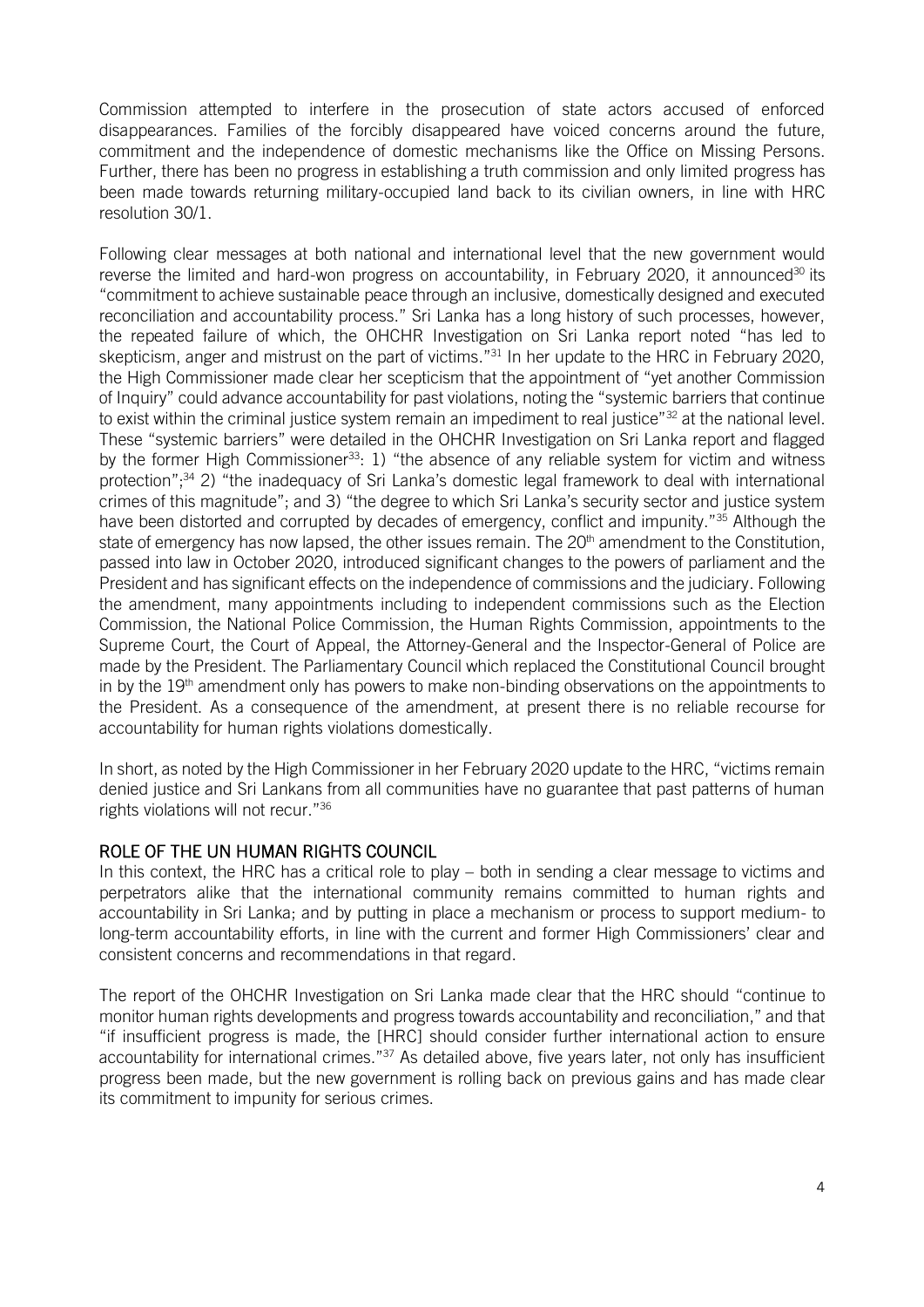Commission attempted to interfere in the prosecution of state actors accused of enforced disappearances. Families of the forcibly disappeared have voiced concerns around the future, commitment and the independence of domestic mechanisms like the Office on Missing Persons. Further, there has been no progress in establishing a truth commission and only limited progress has been made towards returning military-occupied land back to its civilian owners, in line with HRC resolution 30/1.

Following clear messages at both national and international level that the new government would reverse the limited and hard-won progress on accountability, in February 2020, it announced<sup>30</sup> its "commitment to achieve sustainable peace through an inclusive, domestically designed and executed reconciliation and accountability process." Sri Lanka has a long history of such processes, however, the repeated failure of which, the OHCHR Investigation on Sri Lanka report noted "has led to skepticism, anger and mistrust on the part of victims."<sup>31</sup> In her update to the HRC in February 2020, the High Commissioner made clear her scepticism that the appointment of "yet another Commission of Inquiry" could advance accountability for past violations, noting the "systemic barriers that continue to exist within the criminal justice system remain an impediment to real justice"<sup>32</sup> at the national level. These "systemic barriers" were detailed in the OHCHR Investigation on Sri Lanka report and flagged by the former High Commissioner<sup>33</sup>: 1) "the absence of any reliable system for victim and witness protection";<sup>34</sup> 2) "the inadequacy of Sri Lanka's domestic legal framework to deal with international crimes of this magnitude"; and 3) "the degree to which Sri Lanka's security sector and justice system have been distorted and corrupted by decades of emergency, conflict and impunity."<sup>35</sup> Although the state of emergency has now lapsed, the other issues remain. The 20<sup>th</sup> amendment to the Constitution, passed into law in October 2020, introduced significant changes to the powers of parliament and the President and has significant effects on the independence of commissions and the judiciary. Following the amendment, many appointments including to independent commissions such as the Election Commission, the National Police Commission, the Human Rights Commission, appointments to the Supreme Court, the Court of Appeal, the Attorney-General and the Inspector-General of Police are made by the President. The Parliamentary Council which replaced the Constitutional Council brought in by the  $19<sup>th</sup>$  amendment only has powers to make non-binding observations on the appointments to the President. As a consequence of the amendment, at present there is no reliable recourse for accountability for human rights violations domestically.

In short, as noted by the High Commissioner in her February 2020 update to the HRC, "victims remain denied justice and Sri Lankans from all communities have no guarantee that past patterns of human rights violations will not recur."<sup>36</sup>

### ROLE OF THE UN HUMAN RIGHTS COUNCIL

In this context, the HRC has a critical role to play – both in sending a clear message to victims and perpetrators alike that the international community remains committed to human rights and accountability in Sri Lanka; and by putting in place a mechanism or process to support medium- to long-term accountability efforts, in line with the current and former High Commissioners' clear and consistent concerns and recommendations in that regard.

The report of the OHCHR Investigation on Sri Lanka made clear that the HRC should "continue to monitor human rights developments and progress towards accountability and reconciliation," and that "if insufficient progress is made, the [HRC] should consider further international action to ensure accountability for international crimes."<sup>37</sup> As detailed above, five years later, not only has insufficient progress been made, but the new government is rolling back on previous gains and has made clear its commitment to impunity for serious crimes.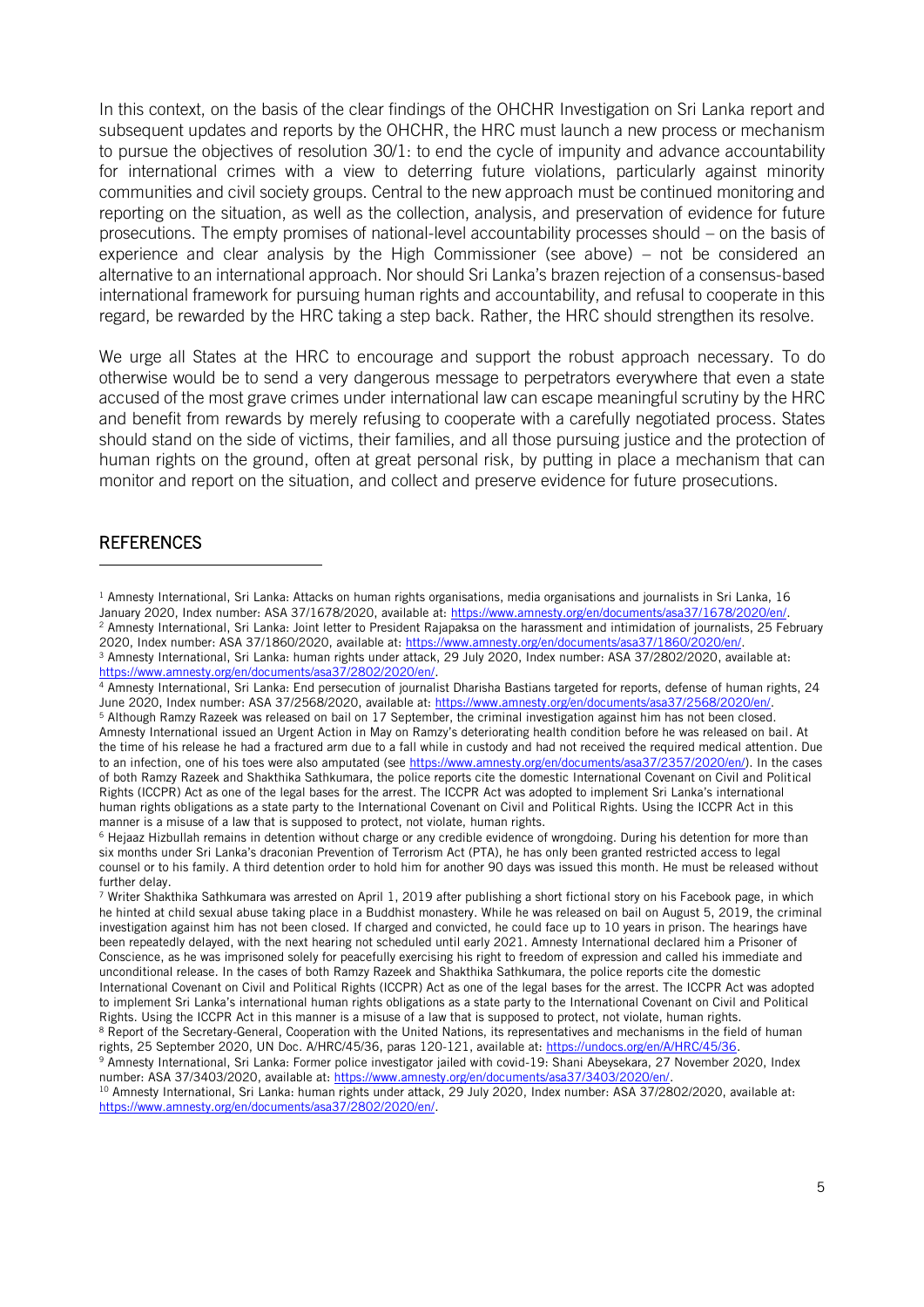In this context, on the basis of the clear findings of the OHCHR Investigation on Sri Lanka report and subsequent updates and reports by the OHCHR, the HRC must launch a new process or mechanism to pursue the objectives of resolution 30/1: to end the cycle of impunity and advance accountability for international crimes with a view to deterring future violations, particularly against minority communities and civil society groups. Central to the new approach must be continued monitoring and reporting on the situation, as well as the collection, analysis, and preservation of evidence for future prosecutions. The empty promises of national-level accountability processes should – on the basis of experience and clear analysis by the High Commissioner (see above) – not be considered an alternative to an international approach. Nor should Sri Lanka's brazen rejection of a consensus-based international framework for pursuing human rights and accountability, and refusal to cooperate in this regard, be rewarded by the HRC taking a step back. Rather, the HRC should strengthen its resolve.

We urge all States at the HRC to encourage and support the robust approach necessary. To do otherwise would be to send a very dangerous message to perpetrators everywhere that even a state accused of the most grave crimes under international law can escape meaningful scrutiny by the HRC and benefit from rewards by merely refusing to cooperate with a carefully negotiated process. States should stand on the side of victims, their families, and all those pursuing justice and the protection of human rights on the ground, often at great personal risk, by putting in place a mechanism that can monitor and report on the situation, and collect and preserve evidence for future prosecutions.

#### **REFERENCES**

 $1$  Amnesty International, Sri Lanka: Attacks on human rights organisations, media organisations and journalists in Sri Lanka, 16 January 2020, Index number: ASA 37/1678/2020, available at[: https://www.amnesty.org/en/documents/asa37/1678/2020/en/.](https://www.amnesty.org/en/documents/asa37/1678/2020/en/) <sup>2</sup> Amnesty International, Sri Lanka: Joint letter to President Rajapaksa on the harassment and intimidation of journalists, 25 February 2020, Index number: ASA 37/1860/2020, available at[: https://www.amnesty.org/en/documents/asa37/1860/2020/en/.](https://www.amnesty.org/en/documents/asa37/1860/2020/en/) <sup>3</sup> Amnesty International, Sri Lanka: human rights under attack, 29 July 2020, Index number: ASA 37/2802/2020, available at:

[https://www.amnesty.org/en/documents/asa37/2802/2020/en/.](https://www.amnesty.org/en/documents/asa37/2802/2020/en/)

<sup>4</sup> Amnesty International, Sri Lanka: End persecution of journalist Dharisha Bastians targeted for reports, defense of human rights, 24 June 2020, Index number: ASA 37/2568/2020, available at: [https://www.amnesty.org/en/documents/asa37/2568/2020/en/.](https://www.amnesty.org/en/documents/asa37/2568/2020/en/)

<sup>5</sup> Although Ramzy Razeek was released on bail on 17 September, the criminal investigation against him has not been closed. Amnesty International issued an Urgent Action in May on Ramzy's deteriorating health condition before he was released on bail. At the time of his release he had a fractured arm due to a fall while in custody and had not received the required medical attention. Due to an infection, one of his toes were also amputated (se[e https://www.amnesty.org/en/documents/asa37/2357/2020/en/\)](https://www.amnesty.org/en/documents/asa37/2357/2020/en/). In the cases of both Ramzy Razeek and Shakthika Sathkumara, the police reports cite the domestic International Covenant on Civil and Political Rights (ICCPR) Act as one of the legal bases for the arrest. The ICCPR Act was adopted to implement Sri Lanka's international human rights obligations as a state party to the International Covenant on Civil and Political Rights. Using the ICCPR Act in this manner is a misuse of a law that is supposed to protect, not violate, human rights.

 $6$  Hejaaz Hizbullah remains in detention without charge or any credible evidence of wrongdoing. During his detention for more than six months under Sri Lanka's draconian Prevention of Terrorism Act (PTA), he has only been granted restricted access to legal counsel or to his family. A third detention order to hold him for another 90 days was issued this month. He must be released without further delay.

 $7$  Writer Shakthika Sathkumara was arrested on April 1, 2019 after publishing a short fictional story on his Facebook page, in which he hinted at child sexual abuse taking place in a Buddhist monastery. While he was released on bail on August 5, 2019, the criminal investigation against him has not been closed. If charged and convicted, he could face up to 10 years in prison. The hearings have been repeatedly delayed, with the next hearing not scheduled until early 2021. Amnesty International declared him a Prisoner of Conscience, as he was imprisoned solely for peacefully exercising his right to freedom of expression and called his immediate and unconditional release. In the cases of both Ramzy Razeek and Shakthika Sathkumara, the police reports cite the domestic International Covenant on Civil and Political Rights (ICCPR) Act as one of the legal bases for the arrest. The ICCPR Act was adopted to implement Sri Lanka's international human rights obligations as a state party to the International Covenant on Civil and Political Rights. Using the ICCPR Act in this manner is a misuse of a law that is supposed to protect, not violate, human rights. <sup>8</sup> Report of the Secretary-General, Cooperation with the United Nations, its representatives and mechanisms in the field of human rights, 25 September 2020, UN Doc. A/HRC/45/36, paras 120-121, available at: [https://undocs.org/en/A/HRC/45/36.](https://undocs.org/en/A/HRC/45/36) <sup>9</sup> Amnesty International, Sri Lanka: Former police investigator jailed with covid-19: Shani Abeysekara, 27 November 2020, Index number: ASA 37/3403/2020, available at: [https://www.amnesty.org/en/documents/asa37/3403/2020/en/.](https://www.amnesty.org/en/documents/asa37/3403/2020/en/)

<sup>&</sup>lt;sup>10</sup> Amnesty International, Sri Lanka: human rights under attack, 29 July 2020, Index number: ASA 37/2802/2020, available at: [https://www.amnesty.org/en/documents/asa37/2802/2020/en/.](https://www.amnesty.org/en/documents/asa37/2802/2020/en/)